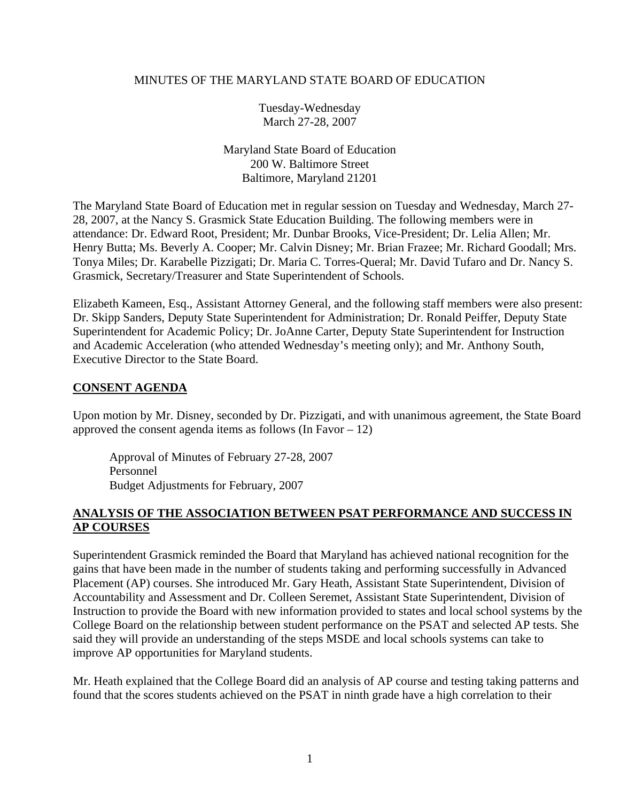#### MINUTES OF THE MARYLAND STATE BOARD OF EDUCATION

Tuesday-Wednesday March 27-28, 2007

Maryland State Board of Education 200 W. Baltimore Street Baltimore, Maryland 21201

The Maryland State Board of Education met in regular session on Tuesday and Wednesday, March 27- 28, 2007, at the Nancy S. Grasmick State Education Building. The following members were in attendance: Dr. Edward Root, President; Mr. Dunbar Brooks, Vice-President; Dr. Lelia Allen; Mr. Henry Butta; Ms. Beverly A. Cooper; Mr. Calvin Disney; Mr. Brian Frazee; Mr. Richard Goodall; Mrs. Tonya Miles; Dr. Karabelle Pizzigati; Dr. Maria C. Torres-Queral; Mr. David Tufaro and Dr. Nancy S. Grasmick, Secretary/Treasurer and State Superintendent of Schools.

Elizabeth Kameen, Esq., Assistant Attorney General, and the following staff members were also present: Dr. Skipp Sanders, Deputy State Superintendent for Administration; Dr. Ronald Peiffer, Deputy State Superintendent for Academic Policy; Dr. JoAnne Carter, Deputy State Superintendent for Instruction and Academic Acceleration (who attended Wednesday's meeting only); and Mr. Anthony South, Executive Director to the State Board.

#### **CONSENT AGENDA**

Upon motion by Mr. Disney, seconded by Dr. Pizzigati, and with unanimous agreement, the State Board approved the consent agenda items as follows (In Favor  $-12$ )

Approval of Minutes of February 27-28, 2007 Personnel Budget Adjustments for February, 2007

#### **ANALYSIS OF THE ASSOCIATION BETWEEN PSAT PERFORMANCE AND SUCCESS IN AP COURSES**

Superintendent Grasmick reminded the Board that Maryland has achieved national recognition for the gains that have been made in the number of students taking and performing successfully in Advanced Placement (AP) courses. She introduced Mr. Gary Heath, Assistant State Superintendent, Division of Accountability and Assessment and Dr. Colleen Seremet, Assistant State Superintendent, Division of Instruction to provide the Board with new information provided to states and local school systems by the College Board on the relationship between student performance on the PSAT and selected AP tests. She said they will provide an understanding of the steps MSDE and local schools systems can take to improve AP opportunities for Maryland students.

Mr. Heath explained that the College Board did an analysis of AP course and testing taking patterns and found that the scores students achieved on the PSAT in ninth grade have a high correlation to their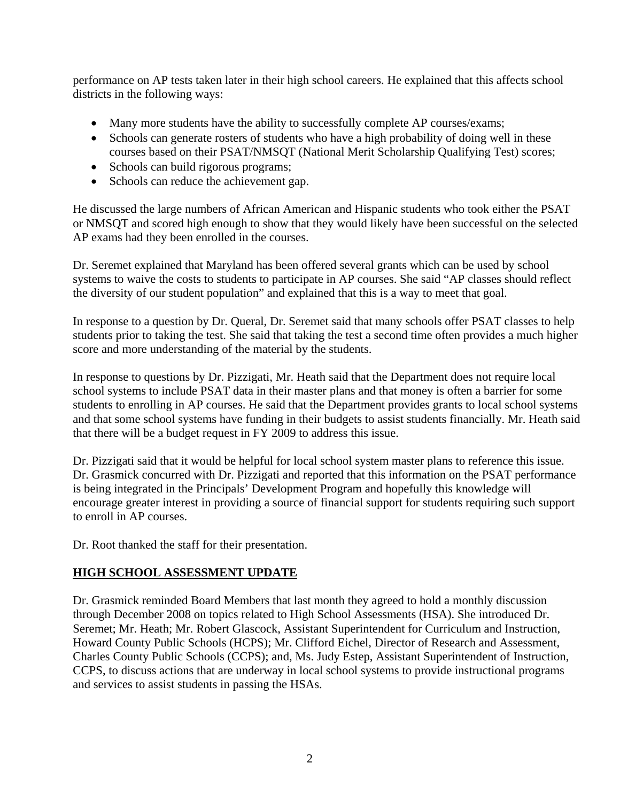performance on AP tests taken later in their high school careers. He explained that this affects school districts in the following ways:

- Many more students have the ability to successfully complete AP courses/exams;
- Schools can generate rosters of students who have a high probability of doing well in these courses based on their PSAT/NMSQT (National Merit Scholarship Qualifying Test) scores;
- Schools can build rigorous programs;
- Schools can reduce the achievement gap.

He discussed the large numbers of African American and Hispanic students who took either the PSAT or NMSQT and scored high enough to show that they would likely have been successful on the selected AP exams had they been enrolled in the courses.

Dr. Seremet explained that Maryland has been offered several grants which can be used by school systems to waive the costs to students to participate in AP courses. She said "AP classes should reflect the diversity of our student population" and explained that this is a way to meet that goal.

In response to a question by Dr. Queral, Dr. Seremet said that many schools offer PSAT classes to help students prior to taking the test. She said that taking the test a second time often provides a much higher score and more understanding of the material by the students.

In response to questions by Dr. Pizzigati, Mr. Heath said that the Department does not require local school systems to include PSAT data in their master plans and that money is often a barrier for some students to enrolling in AP courses. He said that the Department provides grants to local school systems and that some school systems have funding in their budgets to assist students financially. Mr. Heath said that there will be a budget request in FY 2009 to address this issue.

Dr. Pizzigati said that it would be helpful for local school system master plans to reference this issue. Dr. Grasmick concurred with Dr. Pizzigati and reported that this information on the PSAT performance is being integrated in the Principals' Development Program and hopefully this knowledge will encourage greater interest in providing a source of financial support for students requiring such support to enroll in AP courses.

Dr. Root thanked the staff for their presentation.

### **HIGH SCHOOL ASSESSMENT UPDATE**

Dr. Grasmick reminded Board Members that last month they agreed to hold a monthly discussion through December 2008 on topics related to High School Assessments (HSA). She introduced Dr. Seremet; Mr. Heath; Mr. Robert Glascock, Assistant Superintendent for Curriculum and Instruction, Howard County Public Schools (HCPS); Mr. Clifford Eichel, Director of Research and Assessment, Charles County Public Schools (CCPS); and, Ms. Judy Estep, Assistant Superintendent of Instruction, CCPS, to discuss actions that are underway in local school systems to provide instructional programs and services to assist students in passing the HSAs.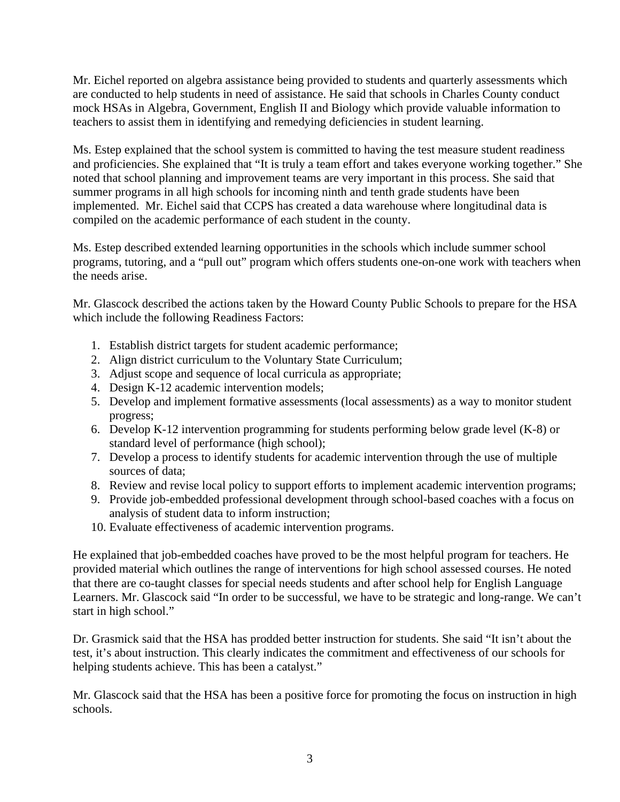Mr. Eichel reported on algebra assistance being provided to students and quarterly assessments which are conducted to help students in need of assistance. He said that schools in Charles County conduct mock HSAs in Algebra, Government, English II and Biology which provide valuable information to teachers to assist them in identifying and remedying deficiencies in student learning.

Ms. Estep explained that the school system is committed to having the test measure student readiness and proficiencies. She explained that "It is truly a team effort and takes everyone working together." She noted that school planning and improvement teams are very important in this process. She said that summer programs in all high schools for incoming ninth and tenth grade students have been implemented. Mr. Eichel said that CCPS has created a data warehouse where longitudinal data is compiled on the academic performance of each student in the county.

Ms. Estep described extended learning opportunities in the schools which include summer school programs, tutoring, and a "pull out" program which offers students one-on-one work with teachers when the needs arise.

Mr. Glascock described the actions taken by the Howard County Public Schools to prepare for the HSA which include the following Readiness Factors:

- 1. Establish district targets for student academic performance;
- 2. Align district curriculum to the Voluntary State Curriculum;
- 3. Adjust scope and sequence of local curricula as appropriate;
- 4. Design K-12 academic intervention models;
- 5. Develop and implement formative assessments (local assessments) as a way to monitor student progress;
- 6. Develop K-12 intervention programming for students performing below grade level (K-8) or standard level of performance (high school);
- 7. Develop a process to identify students for academic intervention through the use of multiple sources of data;
- 8. Review and revise local policy to support efforts to implement academic intervention programs;
- 9. Provide job-embedded professional development through school-based coaches with a focus on analysis of student data to inform instruction;
- 10. Evaluate effectiveness of academic intervention programs.

He explained that job-embedded coaches have proved to be the most helpful program for teachers. He provided material which outlines the range of interventions for high school assessed courses. He noted that there are co-taught classes for special needs students and after school help for English Language Learners. Mr. Glascock said "In order to be successful, we have to be strategic and long-range. We can't start in high school."

Dr. Grasmick said that the HSA has prodded better instruction for students. She said "It isn't about the test, it's about instruction. This clearly indicates the commitment and effectiveness of our schools for helping students achieve. This has been a catalyst."

Mr. Glascock said that the HSA has been a positive force for promoting the focus on instruction in high schools.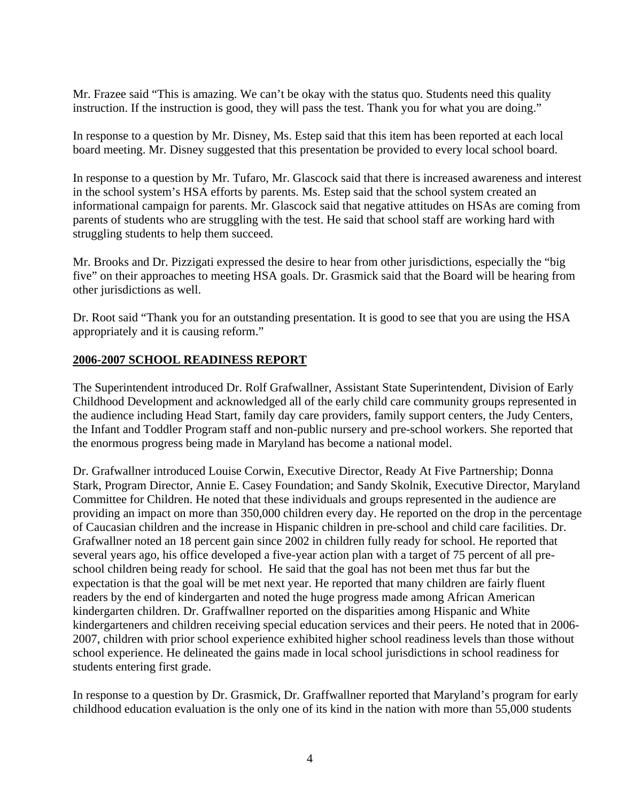Mr. Frazee said "This is amazing. We can't be okay with the status quo. Students need this quality instruction. If the instruction is good, they will pass the test. Thank you for what you are doing."

In response to a question by Mr. Disney, Ms. Estep said that this item has been reported at each local board meeting. Mr. Disney suggested that this presentation be provided to every local school board.

In response to a question by Mr. Tufaro, Mr. Glascock said that there is increased awareness and interest in the school system's HSA efforts by parents. Ms. Estep said that the school system created an informational campaign for parents. Mr. Glascock said that negative attitudes on HSAs are coming from parents of students who are struggling with the test. He said that school staff are working hard with struggling students to help them succeed.

Mr. Brooks and Dr. Pizzigati expressed the desire to hear from other jurisdictions, especially the "big five" on their approaches to meeting HSA goals. Dr. Grasmick said that the Board will be hearing from other jurisdictions as well.

Dr. Root said "Thank you for an outstanding presentation. It is good to see that you are using the HSA appropriately and it is causing reform."

#### **2006-2007 SCHOOL READINESS REPORT**

The Superintendent introduced Dr. Rolf Grafwallner, Assistant State Superintendent, Division of Early Childhood Development and acknowledged all of the early child care community groups represented in the audience including Head Start, family day care providers, family support centers, the Judy Centers, the Infant and Toddler Program staff and non-public nursery and pre-school workers. She reported that the enormous progress being made in Maryland has become a national model.

Dr. Grafwallner introduced Louise Corwin, Executive Director, Ready At Five Partnership; Donna Stark, Program Director, Annie E. Casey Foundation; and Sandy Skolnik, Executive Director, Maryland Committee for Children. He noted that these individuals and groups represented in the audience are providing an impact on more than 350,000 children every day. He reported on the drop in the percentage of Caucasian children and the increase in Hispanic children in pre-school and child care facilities. Dr. Grafwallner noted an 18 percent gain since 2002 in children fully ready for school. He reported that several years ago, his office developed a five-year action plan with a target of 75 percent of all preschool children being ready for school. He said that the goal has not been met thus far but the expectation is that the goal will be met next year. He reported that many children are fairly fluent readers by the end of kindergarten and noted the huge progress made among African American kindergarten children. Dr. Graffwallner reported on the disparities among Hispanic and White kindergarteners and children receiving special education services and their peers. He noted that in 2006- 2007, children with prior school experience exhibited higher school readiness levels than those without school experience. He delineated the gains made in local school jurisdictions in school readiness for students entering first grade.

In response to a question by Dr. Grasmick, Dr. Graffwallner reported that Maryland's program for early childhood education evaluation is the only one of its kind in the nation with more than 55,000 students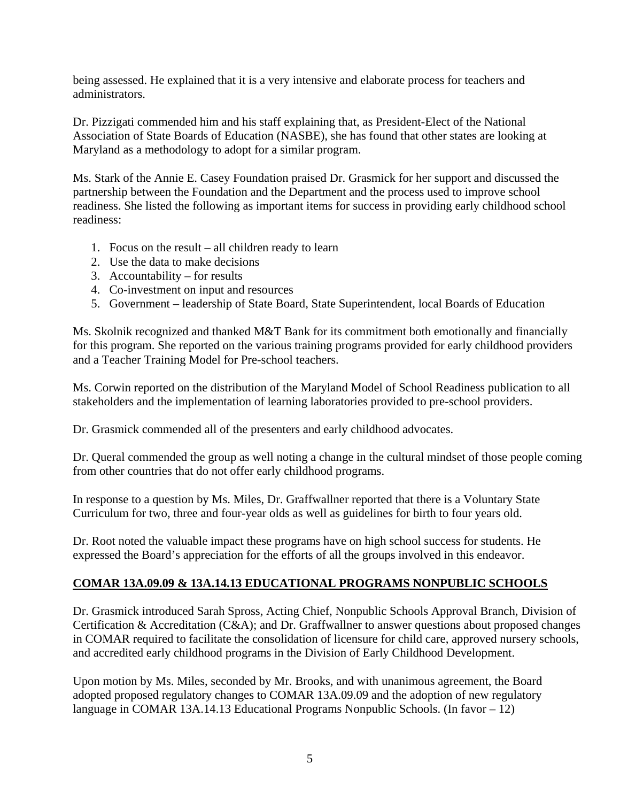being assessed. He explained that it is a very intensive and elaborate process for teachers and administrators.

Dr. Pizzigati commended him and his staff explaining that, as President-Elect of the National Association of State Boards of Education (NASBE), she has found that other states are looking at Maryland as a methodology to adopt for a similar program.

Ms. Stark of the Annie E. Casey Foundation praised Dr. Grasmick for her support and discussed the partnership between the Foundation and the Department and the process used to improve school readiness. She listed the following as important items for success in providing early childhood school readiness:

- 1. Focus on the result all children ready to learn
- 2. Use the data to make decisions
- 3. Accountability for results
- 4. Co-investment on input and resources
- 5. Government leadership of State Board, State Superintendent, local Boards of Education

Ms. Skolnik recognized and thanked M&T Bank for its commitment both emotionally and financially for this program. She reported on the various training programs provided for early childhood providers and a Teacher Training Model for Pre-school teachers.

Ms. Corwin reported on the distribution of the Maryland Model of School Readiness publication to all stakeholders and the implementation of learning laboratories provided to pre-school providers.

Dr. Grasmick commended all of the presenters and early childhood advocates.

Dr. Queral commended the group as well noting a change in the cultural mindset of those people coming from other countries that do not offer early childhood programs.

In response to a question by Ms. Miles, Dr. Graffwallner reported that there is a Voluntary State Curriculum for two, three and four-year olds as well as guidelines for birth to four years old.

Dr. Root noted the valuable impact these programs have on high school success for students. He expressed the Board's appreciation for the efforts of all the groups involved in this endeavor.

# **COMAR 13A.09.09 & 13A.14.13 EDUCATIONAL PROGRAMS NONPUBLIC SCHOOLS**

Dr. Grasmick introduced Sarah Spross, Acting Chief, Nonpublic Schools Approval Branch, Division of Certification & Accreditation (C&A); and Dr. Graffwallner to answer questions about proposed changes in COMAR required to facilitate the consolidation of licensure for child care, approved nursery schools, and accredited early childhood programs in the Division of Early Childhood Development.

Upon motion by Ms. Miles, seconded by Mr. Brooks, and with unanimous agreement, the Board adopted proposed regulatory changes to COMAR 13A.09.09 and the adoption of new regulatory language in COMAR 13A.14.13 Educational Programs Nonpublic Schools. (In favor – 12)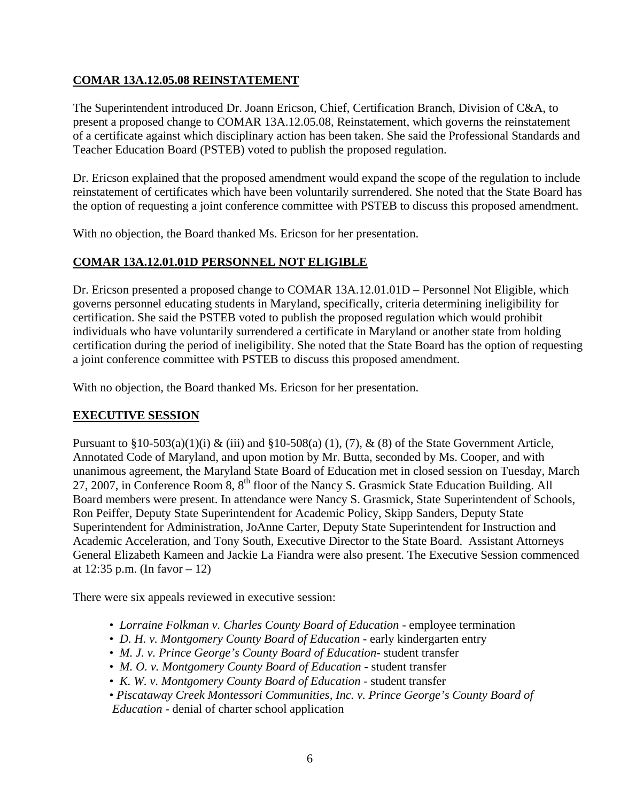## **COMAR 13A.12.05.08 REINSTATEMENT**

The Superintendent introduced Dr. Joann Ericson, Chief, Certification Branch, Division of C&A, to present a proposed change to COMAR 13A.12.05.08, Reinstatement, which governs the reinstatement of a certificate against which disciplinary action has been taken. She said the Professional Standards and Teacher Education Board (PSTEB) voted to publish the proposed regulation.

Dr. Ericson explained that the proposed amendment would expand the scope of the regulation to include reinstatement of certificates which have been voluntarily surrendered. She noted that the State Board has the option of requesting a joint conference committee with PSTEB to discuss this proposed amendment.

With no objection, the Board thanked Ms. Ericson for her presentation.

# **COMAR 13A.12.01.01D PERSONNEL NOT ELIGIBLE**

Dr. Ericson presented a proposed change to COMAR 13A.12.01.01D – Personnel Not Eligible, which governs personnel educating students in Maryland, specifically, criteria determining ineligibility for certification. She said the PSTEB voted to publish the proposed regulation which would prohibit individuals who have voluntarily surrendered a certificate in Maryland or another state from holding certification during the period of ineligibility. She noted that the State Board has the option of requesting a joint conference committee with PSTEB to discuss this proposed amendment.

With no objection, the Board thanked Ms. Ericson for her presentation.

### **EXECUTIVE SESSION**

Pursuant to  $\S 10-503(a)(1)(i)$  & (iii) and  $\S 10-508(a)(1)$ , (7), & (8) of the State Government Article, Annotated Code of Maryland, and upon motion by Mr. Butta, seconded by Ms. Cooper, and with unanimous agreement, the Maryland State Board of Education met in closed session on Tuesday, March 27, 2007, in Conference Room 8, 8th floor of the Nancy S. Grasmick State Education Building. All Board members were present. In attendance were Nancy S. Grasmick, State Superintendent of Schools, Ron Peiffer, Deputy State Superintendent for Academic Policy, Skipp Sanders, Deputy State Superintendent for Administration, JoAnne Carter, Deputy State Superintendent for Instruction and Academic Acceleration, and Tony South, Executive Director to the State Board. Assistant Attorneys General Elizabeth Kameen and Jackie La Fiandra were also present. The Executive Session commenced at 12:35 p.m. (In favor – 12)

There were six appeals reviewed in executive session:

- *Lorraine Folkman v. Charles County Board of Education* employee termination
- *D. H. v. Montgomery County Board of Education* early kindergarten entry
- *M. J. v. Prince George's County Board of Education* student transfer
- *M. O. v. Montgomery County Board of Education* student transfer
- • *K. W. v. Montgomery County Board of Education*  student transfer
- *Piscataway Creek Montessori Communities, Inc. v. Prince George's County Board of Education* - denial of charter school application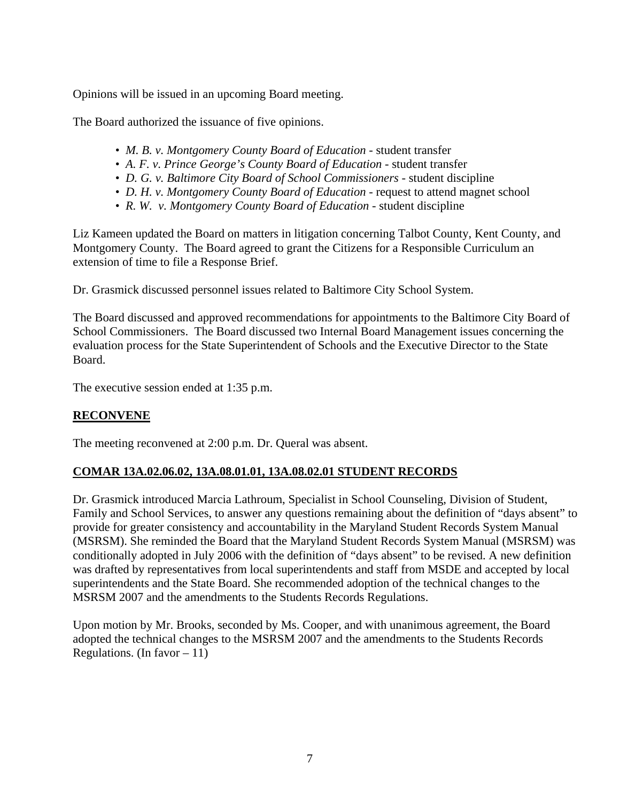Opinions will be issued in an upcoming Board meeting.

The Board authorized the issuance of five opinions.

- *M. B. v. Montgomery County Board of Education* student transfer
- A. F. v. Prince George's County Board of Education student transfer
- D. G. v. Baltimore City Board of School Commissioners student discipline
- *D. H. v. Montgomery County Board of Education* request to attend magnet school
- *R. W. v. Montgomery County Board of Education* student discipline

Liz Kameen updated the Board on matters in litigation concerning Talbot County, Kent County, and Montgomery County. The Board agreed to grant the Citizens for a Responsible Curriculum an extension of time to file a Response Brief.

Dr. Grasmick discussed personnel issues related to Baltimore City School System.

The Board discussed and approved recommendations for appointments to the Baltimore City Board of School Commissioners. The Board discussed two Internal Board Management issues concerning the evaluation process for the State Superintendent of Schools and the Executive Director to the State Board.

The executive session ended at 1:35 p.m.

### **RECONVENE**

The meeting reconvened at 2:00 p.m. Dr. Queral was absent.

# **COMAR 13A.02.06.02, 13A.08.01.01, 13A.08.02.01 STUDENT RECORDS**

Dr. Grasmick introduced Marcia Lathroum, Specialist in School Counseling, Division of Student, Family and School Services, to answer any questions remaining about the definition of "days absent" to provide for greater consistency and accountability in the Maryland Student Records System Manual (MSRSM). She reminded the Board that the Maryland Student Records System Manual (MSRSM) was conditionally adopted in July 2006 with the definition of "days absent" to be revised. A new definition was drafted by representatives from local superintendents and staff from MSDE and accepted by local superintendents and the State Board. She recommended adoption of the technical changes to the MSRSM 2007 and the amendments to the Students Records Regulations.

Upon motion by Mr. Brooks, seconded by Ms. Cooper, and with unanimous agreement, the Board adopted the technical changes to the MSRSM 2007 and the amendments to the Students Records Regulations. (In favor  $-11$ )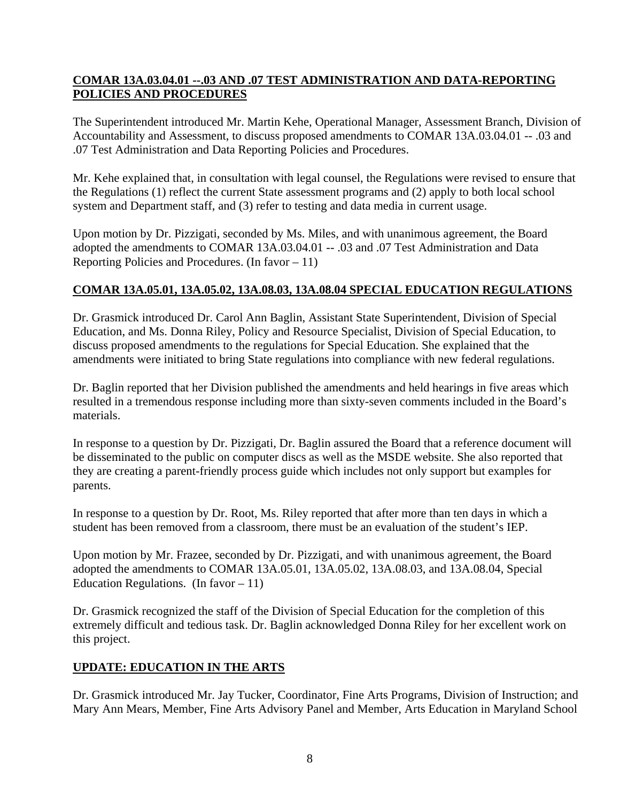## **COMAR 13A.03.04.01 --.03 AND .07 TEST ADMINISTRATION AND DATA-REPORTING POLICIES AND PROCEDURES**

The Superintendent introduced Mr. Martin Kehe, Operational Manager, Assessment Branch, Division of Accountability and Assessment, to discuss proposed amendments to COMAR 13A.03.04.01 -- .03 and .07 Test Administration and Data Reporting Policies and Procedures.

Mr. Kehe explained that, in consultation with legal counsel, the Regulations were revised to ensure that the Regulations (1) reflect the current State assessment programs and (2) apply to both local school system and Department staff, and (3) refer to testing and data media in current usage.

Upon motion by Dr. Pizzigati, seconded by Ms. Miles, and with unanimous agreement, the Board adopted the amendments to COMAR 13A.03.04.01 -- .03 and .07 Test Administration and Data Reporting Policies and Procedures. (In favor  $-11$ )

## **COMAR 13A.05.01, 13A.05.02, 13A.08.03, 13A.08.04 SPECIAL EDUCATION REGULATIONS**

Dr. Grasmick introduced Dr. Carol Ann Baglin, Assistant State Superintendent, Division of Special Education, and Ms. Donna Riley, Policy and Resource Specialist, Division of Special Education, to discuss proposed amendments to the regulations for Special Education. She explained that the amendments were initiated to bring State regulations into compliance with new federal regulations.

Dr. Baglin reported that her Division published the amendments and held hearings in five areas which resulted in a tremendous response including more than sixty-seven comments included in the Board's materials.

In response to a question by Dr. Pizzigati, Dr. Baglin assured the Board that a reference document will be disseminated to the public on computer discs as well as the MSDE website. She also reported that they are creating a parent-friendly process guide which includes not only support but examples for parents.

In response to a question by Dr. Root, Ms. Riley reported that after more than ten days in which a student has been removed from a classroom, there must be an evaluation of the student's IEP.

Upon motion by Mr. Frazee, seconded by Dr. Pizzigati, and with unanimous agreement, the Board adopted the amendments to COMAR 13A.05.01, 13A.05.02, 13A.08.03, and 13A.08.04, Special Education Regulations. (In favor  $-11$ )

Dr. Grasmick recognized the staff of the Division of Special Education for the completion of this extremely difficult and tedious task. Dr. Baglin acknowledged Donna Riley for her excellent work on this project.

# **UPDATE: EDUCATION IN THE ARTS**

Dr. Grasmick introduced Mr. Jay Tucker, Coordinator, Fine Arts Programs, Division of Instruction; and Mary Ann Mears, Member, Fine Arts Advisory Panel and Member, Arts Education in Maryland School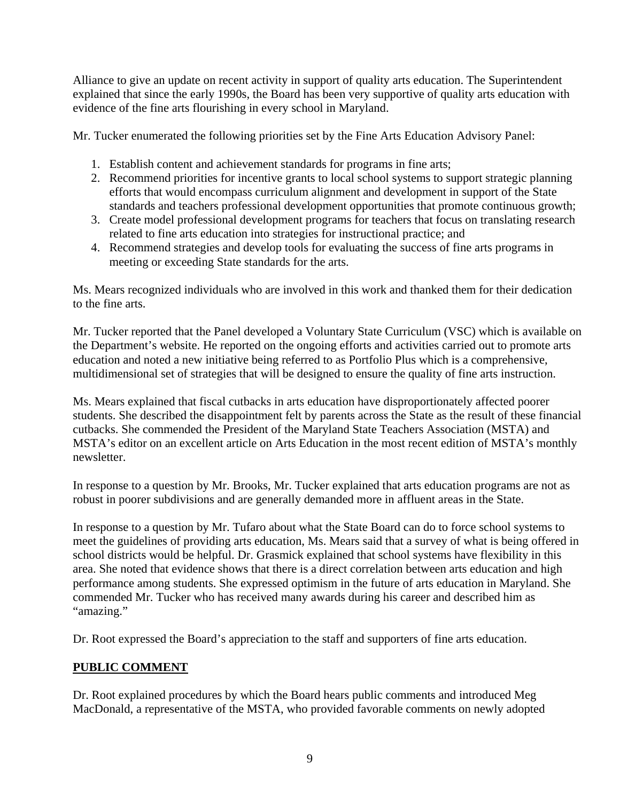Alliance to give an update on recent activity in support of quality arts education. The Superintendent explained that since the early 1990s, the Board has been very supportive of quality arts education with evidence of the fine arts flourishing in every school in Maryland.

Mr. Tucker enumerated the following priorities set by the Fine Arts Education Advisory Panel:

- 1. Establish content and achievement standards for programs in fine arts;
- 2. Recommend priorities for incentive grants to local school systems to support strategic planning efforts that would encompass curriculum alignment and development in support of the State standards and teachers professional development opportunities that promote continuous growth;
- 3. Create model professional development programs for teachers that focus on translating research related to fine arts education into strategies for instructional practice; and
- 4. Recommend strategies and develop tools for evaluating the success of fine arts programs in meeting or exceeding State standards for the arts.

Ms. Mears recognized individuals who are involved in this work and thanked them for their dedication to the fine arts.

Mr. Tucker reported that the Panel developed a Voluntary State Curriculum (VSC) which is available on the Department's website. He reported on the ongoing efforts and activities carried out to promote arts education and noted a new initiative being referred to as Portfolio Plus which is a comprehensive, multidimensional set of strategies that will be designed to ensure the quality of fine arts instruction.

Ms. Mears explained that fiscal cutbacks in arts education have disproportionately affected poorer students. She described the disappointment felt by parents across the State as the result of these financial cutbacks. She commended the President of the Maryland State Teachers Association (MSTA) and MSTA's editor on an excellent article on Arts Education in the most recent edition of MSTA's monthly newsletter.

In response to a question by Mr. Brooks, Mr. Tucker explained that arts education programs are not as robust in poorer subdivisions and are generally demanded more in affluent areas in the State.

In response to a question by Mr. Tufaro about what the State Board can do to force school systems to meet the guidelines of providing arts education, Ms. Mears said that a survey of what is being offered in school districts would be helpful. Dr. Grasmick explained that school systems have flexibility in this area. She noted that evidence shows that there is a direct correlation between arts education and high performance among students. She expressed optimism in the future of arts education in Maryland. She commended Mr. Tucker who has received many awards during his career and described him as "amazing."

Dr. Root expressed the Board's appreciation to the staff and supporters of fine arts education.

# **PUBLIC COMMENT**

Dr. Root explained procedures by which the Board hears public comments and introduced Meg MacDonald, a representative of the MSTA, who provided favorable comments on newly adopted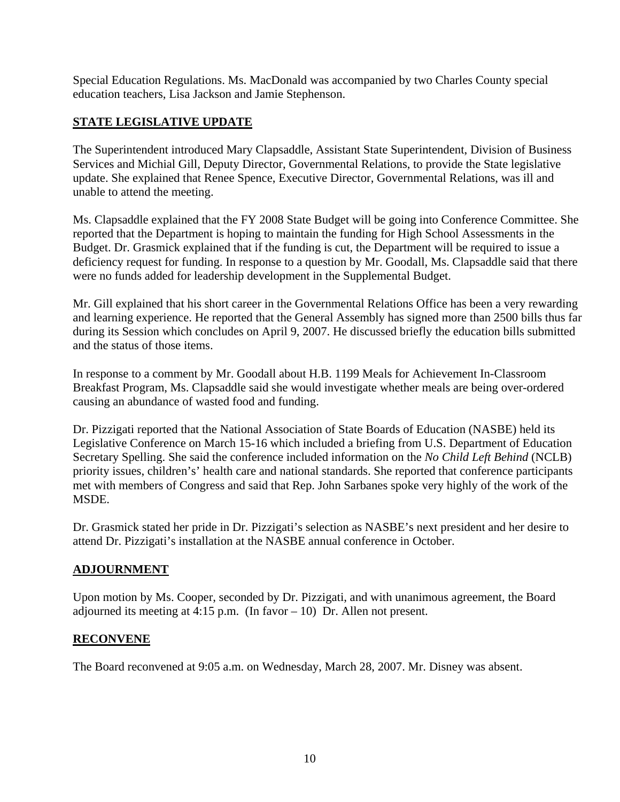Special Education Regulations. Ms. MacDonald was accompanied by two Charles County special education teachers, Lisa Jackson and Jamie Stephenson.

# **STATE LEGISLATIVE UPDATE**

The Superintendent introduced Mary Clapsaddle, Assistant State Superintendent, Division of Business Services and Michial Gill, Deputy Director, Governmental Relations, to provide the State legislative update. She explained that Renee Spence, Executive Director, Governmental Relations, was ill and unable to attend the meeting.

Ms. Clapsaddle explained that the FY 2008 State Budget will be going into Conference Committee. She reported that the Department is hoping to maintain the funding for High School Assessments in the Budget. Dr. Grasmick explained that if the funding is cut, the Department will be required to issue a deficiency request for funding. In response to a question by Mr. Goodall, Ms. Clapsaddle said that there were no funds added for leadership development in the Supplemental Budget.

Mr. Gill explained that his short career in the Governmental Relations Office has been a very rewarding and learning experience. He reported that the General Assembly has signed more than 2500 bills thus far during its Session which concludes on April 9, 2007. He discussed briefly the education bills submitted and the status of those items.

In response to a comment by Mr. Goodall about H.B. 1199 Meals for Achievement In-Classroom Breakfast Program, Ms. Clapsaddle said she would investigate whether meals are being over-ordered causing an abundance of wasted food and funding.

Dr. Pizzigati reported that the National Association of State Boards of Education (NASBE) held its Legislative Conference on March 15-16 which included a briefing from U.S. Department of Education Secretary Spelling. She said the conference included information on the *No Child Left Behind* (NCLB) priority issues, children's' health care and national standards. She reported that conference participants met with members of Congress and said that Rep. John Sarbanes spoke very highly of the work of the MSDE.

Dr. Grasmick stated her pride in Dr. Pizzigati's selection as NASBE's next president and her desire to attend Dr. Pizzigati's installation at the NASBE annual conference in October.

### **ADJOURNMENT**

Upon motion by Ms. Cooper, seconded by Dr. Pizzigati, and with unanimous agreement, the Board adjourned its meeting at 4:15 p.m. (In favor  $-10$ ) Dr. Allen not present.

#### **RECONVENE**

The Board reconvened at 9:05 a.m. on Wednesday, March 28, 2007. Mr. Disney was absent.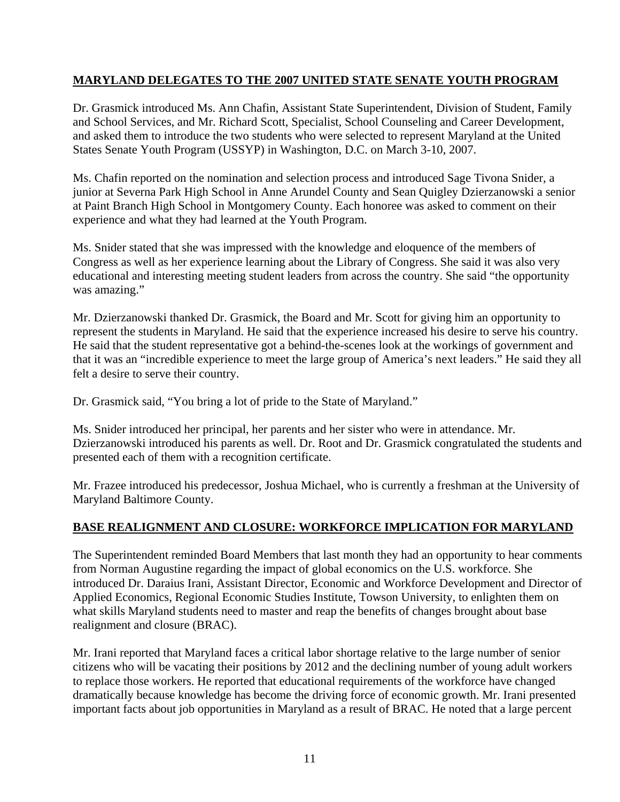## **MARYLAND DELEGATES TO THE 2007 UNITED STATE SENATE YOUTH PROGRAM**

Dr. Grasmick introduced Ms. Ann Chafin, Assistant State Superintendent, Division of Student, Family and School Services, and Mr. Richard Scott, Specialist, School Counseling and Career Development, and asked them to introduce the two students who were selected to represent Maryland at the United States Senate Youth Program (USSYP) in Washington, D.C. on March 3-10, 2007.

Ms. Chafin reported on the nomination and selection process and introduced Sage Tivona Snider, a junior at Severna Park High School in Anne Arundel County and Sean Quigley Dzierzanowski a senior at Paint Branch High School in Montgomery County. Each honoree was asked to comment on their experience and what they had learned at the Youth Program.

Ms. Snider stated that she was impressed with the knowledge and eloquence of the members of Congress as well as her experience learning about the Library of Congress. She said it was also very educational and interesting meeting student leaders from across the country. She said "the opportunity was amazing."

Mr. Dzierzanowski thanked Dr. Grasmick, the Board and Mr. Scott for giving him an opportunity to represent the students in Maryland. He said that the experience increased his desire to serve his country. He said that the student representative got a behind-the-scenes look at the workings of government and that it was an "incredible experience to meet the large group of America's next leaders." He said they all felt a desire to serve their country.

Dr. Grasmick said, "You bring a lot of pride to the State of Maryland."

Ms. Snider introduced her principal, her parents and her sister who were in attendance. Mr. Dzierzanowski introduced his parents as well. Dr. Root and Dr. Grasmick congratulated the students and presented each of them with a recognition certificate.

Mr. Frazee introduced his predecessor, Joshua Michael, who is currently a freshman at the University of Maryland Baltimore County.

### **BASE REALIGNMENT AND CLOSURE: WORKFORCE IMPLICATION FOR MARYLAND**

The Superintendent reminded Board Members that last month they had an opportunity to hear comments from Norman Augustine regarding the impact of global economics on the U.S. workforce. She introduced Dr. Daraius Irani, Assistant Director, Economic and Workforce Development and Director of Applied Economics, Regional Economic Studies Institute, Towson University, to enlighten them on what skills Maryland students need to master and reap the benefits of changes brought about base realignment and closure (BRAC).

Mr. Irani reported that Maryland faces a critical labor shortage relative to the large number of senior citizens who will be vacating their positions by 2012 and the declining number of young adult workers to replace those workers. He reported that educational requirements of the workforce have changed dramatically because knowledge has become the driving force of economic growth. Mr. Irani presented important facts about job opportunities in Maryland as a result of BRAC. He noted that a large percent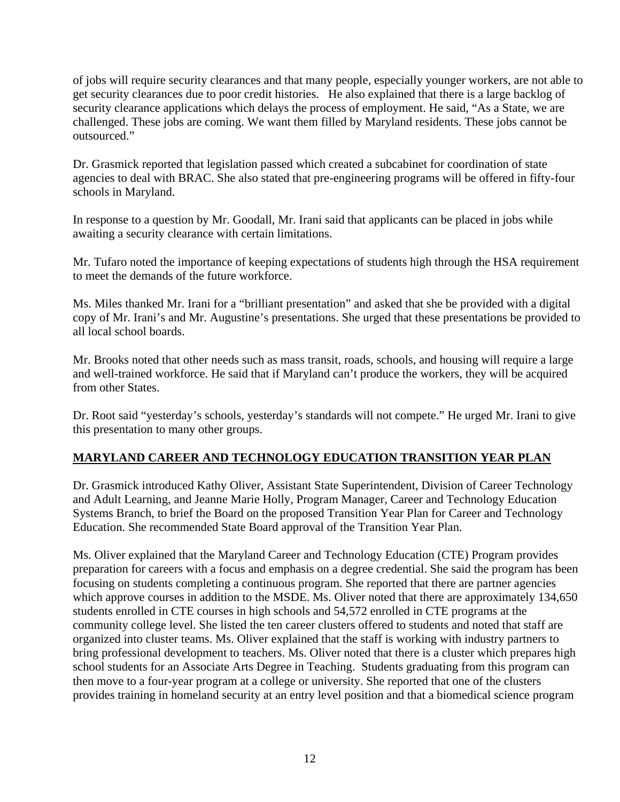of jobs will require security clearances and that many people, especially younger workers, are not able to get security clearances due to poor credit histories. He also explained that there is a large backlog of security clearance applications which delays the process of employment. He said, "As a State, we are challenged. These jobs are coming. We want them filled by Maryland residents. These jobs cannot be outsourced."

Dr. Grasmick reported that legislation passed which created a subcabinet for coordination of state agencies to deal with BRAC. She also stated that pre-engineering programs will be offered in fifty-four schools in Maryland.

In response to a question by Mr. Goodall, Mr. Irani said that applicants can be placed in jobs while awaiting a security clearance with certain limitations.

Mr. Tufaro noted the importance of keeping expectations of students high through the HSA requirement to meet the demands of the future workforce.

Ms. Miles thanked Mr. Irani for a "brilliant presentation" and asked that she be provided with a digital copy of Mr. Irani's and Mr. Augustine's presentations. She urged that these presentations be provided to all local school boards.

Mr. Brooks noted that other needs such as mass transit, roads, schools, and housing will require a large and well-trained workforce. He said that if Maryland can't produce the workers, they will be acquired from other States.

Dr. Root said "yesterday's schools, yesterday's standards will not compete." He urged Mr. Irani to give this presentation to many other groups.

# **MARYLAND CAREER AND TECHNOLOGY EDUCATION TRANSITION YEAR PLAN**

Dr. Grasmick introduced Kathy Oliver, Assistant State Superintendent, Division of Career Technology and Adult Learning, and Jeanne Marie Holly, Program Manager, Career and Technology Education Systems Branch, to brief the Board on the proposed Transition Year Plan for Career and Technology Education. She recommended State Board approval of the Transition Year Plan.

Ms. Oliver explained that the Maryland Career and Technology Education (CTE) Program provides preparation for careers with a focus and emphasis on a degree credential. She said the program has been focusing on students completing a continuous program. She reported that there are partner agencies which approve courses in addition to the MSDE. Ms. Oliver noted that there are approximately 134,650 students enrolled in CTE courses in high schools and 54,572 enrolled in CTE programs at the community college level. She listed the ten career clusters offered to students and noted that staff are organized into cluster teams. Ms. Oliver explained that the staff is working with industry partners to bring professional development to teachers. Ms. Oliver noted that there is a cluster which prepares high school students for an Associate Arts Degree in Teaching. Students graduating from this program can then move to a four-year program at a college or university. She reported that one of the clusters provides training in homeland security at an entry level position and that a biomedical science program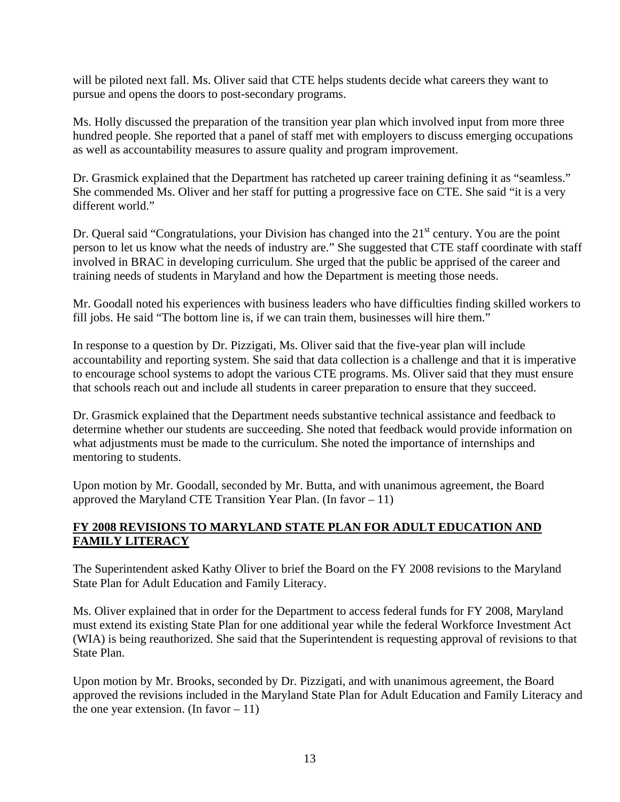will be piloted next fall. Ms. Oliver said that CTE helps students decide what careers they want to pursue and opens the doors to post-secondary programs.

Ms. Holly discussed the preparation of the transition year plan which involved input from more three hundred people. She reported that a panel of staff met with employers to discuss emerging occupations as well as accountability measures to assure quality and program improvement.

Dr. Grasmick explained that the Department has ratcheted up career training defining it as "seamless." She commended Ms. Oliver and her staff for putting a progressive face on CTE. She said "it is a very different world."

Dr. Queral said "Congratulations, your Division has changed into the  $21<sup>st</sup>$  century. You are the point person to let us know what the needs of industry are." She suggested that CTE staff coordinate with staff involved in BRAC in developing curriculum. She urged that the public be apprised of the career and training needs of students in Maryland and how the Department is meeting those needs.

Mr. Goodall noted his experiences with business leaders who have difficulties finding skilled workers to fill jobs. He said "The bottom line is, if we can train them, businesses will hire them."

In response to a question by Dr. Pizzigati, Ms. Oliver said that the five-year plan will include accountability and reporting system. She said that data collection is a challenge and that it is imperative to encourage school systems to adopt the various CTE programs. Ms. Oliver said that they must ensure that schools reach out and include all students in career preparation to ensure that they succeed.

Dr. Grasmick explained that the Department needs substantive technical assistance and feedback to determine whether our students are succeeding. She noted that feedback would provide information on what adjustments must be made to the curriculum. She noted the importance of internships and mentoring to students.

Upon motion by Mr. Goodall, seconded by Mr. Butta, and with unanimous agreement, the Board approved the Maryland CTE Transition Year Plan. (In favor  $-11$ )

### **FY 2008 REVISIONS TO MARYLAND STATE PLAN FOR ADULT EDUCATION AND FAMILY LITERACY**

The Superintendent asked Kathy Oliver to brief the Board on the FY 2008 revisions to the Maryland State Plan for Adult Education and Family Literacy.

Ms. Oliver explained that in order for the Department to access federal funds for FY 2008, Maryland must extend its existing State Plan for one additional year while the federal Workforce Investment Act (WIA) is being reauthorized. She said that the Superintendent is requesting approval of revisions to that State Plan.

Upon motion by Mr. Brooks, seconded by Dr. Pizzigati, and with unanimous agreement, the Board approved the revisions included in the Maryland State Plan for Adult Education and Family Literacy and the one year extension. (In favor  $-11$ )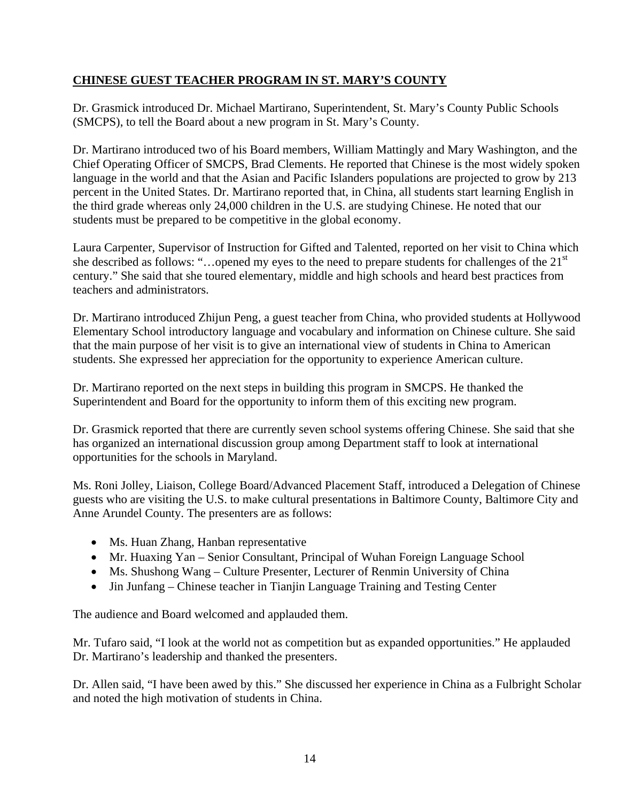# **CHINESE GUEST TEACHER PROGRAM IN ST. MARY'S COUNTY**

Dr. Grasmick introduced Dr. Michael Martirano, Superintendent, St. Mary's County Public Schools (SMCPS), to tell the Board about a new program in St. Mary's County.

Dr. Martirano introduced two of his Board members, William Mattingly and Mary Washington, and the Chief Operating Officer of SMCPS, Brad Clements. He reported that Chinese is the most widely spoken language in the world and that the Asian and Pacific Islanders populations are projected to grow by 213 percent in the United States. Dr. Martirano reported that, in China, all students start learning English in the third grade whereas only 24,000 children in the U.S. are studying Chinese. He noted that our students must be prepared to be competitive in the global economy.

Laura Carpenter, Supervisor of Instruction for Gifted and Talented, reported on her visit to China which she described as follows: "...opened my eyes to the need to prepare students for challenges of the  $21<sup>st</sup>$ century." She said that she toured elementary, middle and high schools and heard best practices from teachers and administrators.

Dr. Martirano introduced Zhijun Peng, a guest teacher from China, who provided students at Hollywood Elementary School introductory language and vocabulary and information on Chinese culture. She said that the main purpose of her visit is to give an international view of students in China to American students. She expressed her appreciation for the opportunity to experience American culture.

Dr. Martirano reported on the next steps in building this program in SMCPS. He thanked the Superintendent and Board for the opportunity to inform them of this exciting new program.

Dr. Grasmick reported that there are currently seven school systems offering Chinese. She said that she has organized an international discussion group among Department staff to look at international opportunities for the schools in Maryland.

Ms. Roni Jolley, Liaison, College Board/Advanced Placement Staff, introduced a Delegation of Chinese guests who are visiting the U.S. to make cultural presentations in Baltimore County, Baltimore City and Anne Arundel County. The presenters are as follows:

- Ms. Huan Zhang, Hanban representative
- Mr. Huaxing Yan Senior Consultant, Principal of Wuhan Foreign Language School
- Ms. Shushong Wang Culture Presenter, Lecturer of Renmin University of China
- Jin Junfang Chinese teacher in Tianjin Language Training and Testing Center

The audience and Board welcomed and applauded them.

Mr. Tufaro said, "I look at the world not as competition but as expanded opportunities." He applauded Dr. Martirano's leadership and thanked the presenters.

Dr. Allen said, "I have been awed by this." She discussed her experience in China as a Fulbright Scholar and noted the high motivation of students in China.